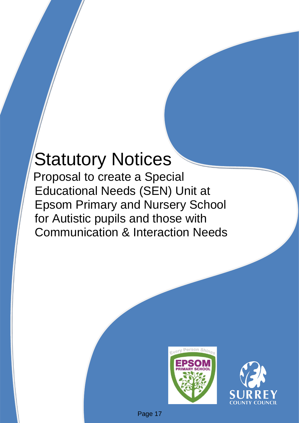# Statutory Notices

Proposal to create a Special Educational Needs (SEN) Unit at Epsom Primary and Nursery School for Autistic pupils and those with Communication & Interaction Needs





Page 17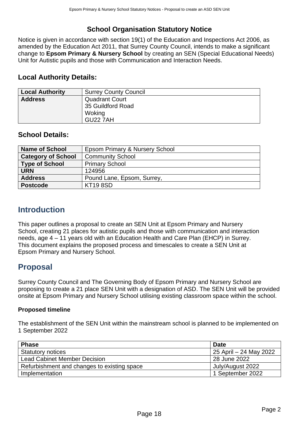## **School Organisation Statutory Notice**

Notice is given in accordance with section 19(1) of the Education and Inspections Act 2006, as amended by the Education Act 2011, that Surrey County Council, intends to make a significant change to **Epsom Primary & Nursery School** by creating an SEN (Special Educational Needs) Unit for Autistic pupils and those with Communication and Interaction Needs.

#### **Local Authority Details:**

| <b>Local Authority</b> | <b>Surrey County Council</b>                         |
|------------------------|------------------------------------------------------|
| <b>Address</b>         | <b>Quadrant Court</b><br>35 Guildford Road<br>Woking |
|                        | <b>GU22 7AH</b>                                      |

#### **School Details:**

| <b>Name of School</b>     | Epsom Primary & Nursery School |
|---------------------------|--------------------------------|
| <b>Category of School</b> | <b>Community School</b>        |
| <b>Type of School</b>     | <b>Primary School</b>          |
| <b>URN</b>                | 124956                         |
| <b>Address</b>            | Pound Lane, Epsom, Surrey,     |
| <b>Postcode</b>           | <b>KT19 8SD</b>                |

## **Introduction**

This paper outlines a proposal to create an SEN Unit at Epsom Primary and Nursery School, creating 21 places for autistic pupils and those with communication and interaction needs, age 4 – 11 years old with an Education Health and Care Plan (EHCP) in Surrey. This document explains the proposed process and timescales to create a SEN Unit at Epsom Primary and Nursery School.

## **Proposal**

Surrey County Council and The Governing Body of Epsom Primary and Nursery School are proposing to create a 21 place SEN Unit with a designation of ASD. The SEN Unit will be provided onsite at Epsom Primary and Nursery School utilising existing classroom space within the school.

#### **Proposed timeline**

The establishment of the SEN Unit within the mainstream school is planned to be implemented on 1 September 2022

| <b>Phase</b>                                | <b>Date</b>            |
|---------------------------------------------|------------------------|
| <b>Statutory notices</b>                    | 25 April – 24 May 2022 |
| <b>Lead Cabinet Member Decision</b>         | 28 June 2022           |
| Refurbishment and changes to existing space | July/August 2022       |
| Implementation                              | 1 September 2022       |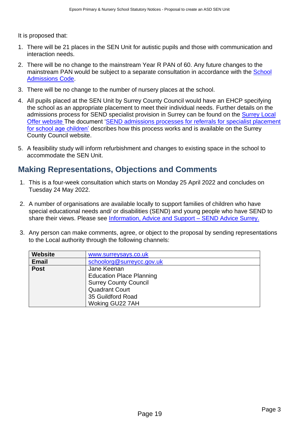It is proposed that:

- 1. There will be 21 places in the SEN Unit for autistic pupils and those with communication and interaction needs.
- 2. There will be no change to the mainstream Year R PAN of 60. Any future changes to the mainstream PAN would be subject to a separate consultation in accordance with the School [Admissions Code.](https://assets.publishing.service.gov.uk/government/uploads/system/uploads/attachment_data/file/1001050/School_admissions_code_2021.pdf)
- 3. There will be no change to the number of nursery places at the school.
- 4. All pupils placed at the SEN Unit by Surrey County Council would have an EHCP specifying the school as an appropriate placement to meet their individual needs. Further details on the admissions process for SEND specialist provision in Surrey can be found on the [Surrey Local](https://www.surreylocaloffer.org.uk/kb5/surrey/localoffer/advice.page?id=9TS_tpdTXU0)  [Offer website](https://www.surreylocaloffer.org.uk/kb5/surrey/localoffer/advice.page?id=9TS_tpdTXU0) The document ['SEND admissions processes for referrals for specialist placement](https://www.surreycc.gov.uk/__data/assets/pdf_file/0011/238934/Final-Pre-16-SEND-Admissions-Guidance_v2.0-002-1-accessible.pdf)  [for school age children'](https://www.surreycc.gov.uk/__data/assets/pdf_file/0011/238934/Final-Pre-16-SEND-Admissions-Guidance_v2.0-002-1-accessible.pdf) describes how this process works and is available on the Surrey County Council website.
- 5. A feasibility study will inform refurbishment and changes to existing space in the school to accommodate the SEN Unit.

## <span id="page-2-0"></span>**Making Representations, Objections and Comments**

- 1. This is a four-week consultation which starts on Monday 25 April 2022 and concludes on Tuesday 24 May 2022.
- 2. A number of organisations are available locally to support families of children who have special educational needs and/ or disabilities (SEND) and young people who have SEND to share their views. Please see [Information, Advice and Support –](https://sendadvicesurrey.org.uk/information-advice-and-support-2/) SEND Advice Surrey.
- 3. Any person can make comments, agree, or object to the proposal by sending representations to the Local authority through the following channels:

| <b>Website</b> | www.surreysays.co.uk            |  |  |  |  |  |  |  |
|----------------|---------------------------------|--|--|--|--|--|--|--|
| <b>Email</b>   | schoolorg@surreycc.gov.uk       |  |  |  |  |  |  |  |
| <b>Post</b>    | Jane Keenan                     |  |  |  |  |  |  |  |
|                | <b>Education Place Planning</b> |  |  |  |  |  |  |  |
|                | <b>Surrey County Council</b>    |  |  |  |  |  |  |  |
|                | <b>Quadrant Court</b>           |  |  |  |  |  |  |  |
|                | 35 Guildford Road               |  |  |  |  |  |  |  |
|                | Woking GU22 7AH                 |  |  |  |  |  |  |  |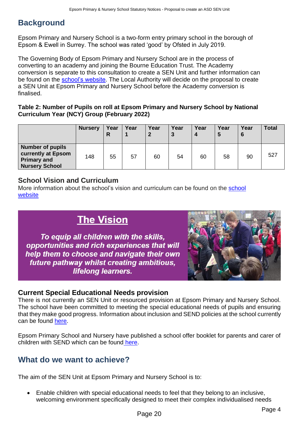## **Background**

Epsom Primary and Nursery School is a two-form entry primary school in the borough of Epsom & Ewell in Surrey. The school was rated 'good' by Ofsted in July 2019.

The Governing Body of Epsom Primary and Nursery School are in the process of converting to an academy and joining the Bourne Education Trust. The Academy conversion is separate to this consultation to create a SEN Unit and further information can be found on the [school's website.](https://www.epsomprimaryschool.co.uk/_files/ugd/afe9a3_d770300141b2456bb40bc553724aa74a.pdf) The Local Authority will decide on the proposal to create a SEN Unit at Epsom Primary and Nursery School before the Academy conversion is finalised.

#### **Table 2: Number of Pupils on roll at Epsom Primary and Nursery School by National Curriculum Year (NCY) Group (February 2022)**

|                                                                                              | <b>Nursery</b> | Year<br>R | Year | Year<br>$\mathbf{2}$ | Year<br>3 | Year<br>$\boldsymbol{4}$ | Year<br>5 | Year<br>6 | <b>Total</b> |
|----------------------------------------------------------------------------------------------|----------------|-----------|------|----------------------|-----------|--------------------------|-----------|-----------|--------------|
| <b>Number of pupils</b><br>currently at Epsom<br><b>Primary and</b><br><b>Nursery School</b> | 148            | 55        | 57   | 60                   | 54        | 60                       | 58        | 90        | 527          |

#### **School Vision and Curriculum**

More information about the school's vision and curriculum can be found on the school [website](https://www.epsomprimaryschool.co.uk/curriculum-intent-and-vision)

# **The Vision**

To equip all children with the skills, opportunities and rich experiences that will help them to choose and navigate their own future pathway whilst creating ambitious, lifelong learners.



#### **Current Special Educational Needs provision**

There is not currently an SEN Unit or resourced provision at Epsom Primary and Nursery School. The school have been committed to meeting the special educational needs of pupils and ensuring that they make good progress. Information about inclusion and SEND policies at the school currently can be found [here.](https://www.epsomprimaryschool.co.uk/inclusion-special-educational-needs)

Epsom Primary School and Nursery have published a school offer booklet for parents and carer of children with SEND which can be found [here.](https://www.epsomprimaryschool.co.uk/_files/ugd/afe9a3_a30796f257d143f7aee454e724b6da02.pdf)

## **What do we want to achieve?**

The aim of the SEN Unit at Epsom Primary and Nursery School is to:

• Enable children with special educational needs to feel that they belong to an inclusive, welcoming environment specifically designed to meet their complex individualised needs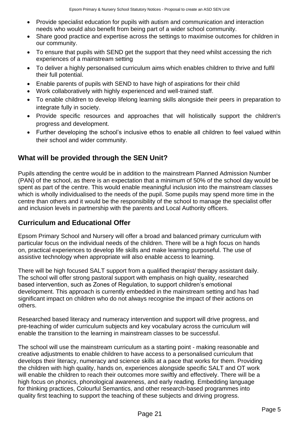- Provide specialist education for pupils with autism and communication and interaction needs who would also benefit from being part of a wider school community.
- Share good practice and expertise across the settings to maximise outcomes for children in our community.
- To ensure that pupils with SEND get the support that they need whilst accessing the rich experiences of a mainstream setting
- To deliver a highly personalised curriculum aims which enables children to thrive and fulfil their full potential.
- Enable parents of pupils with SEND to have high of aspirations for their child
- Work collaboratively with highly experienced and well-trained staff.
- To enable children to develop lifelong learning skills alongside their peers in preparation to integrate fully in society.
- Provide specific resources and approaches that will holistically support the children's progress and development.
- Further developing the school's inclusive ethos to enable all children to feel valued within their school and wider community.

## **What will be provided through the SEN Unit?**

Pupils attending the centre would be in addition to the mainstream Planned Admission Number (PAN) of the school, as there is an expectation that a minimum of 50% of the school day would be spent as part of the centre. This would enable meaningful inclusion into the mainstream classes which is wholly individualised to the needs of the pupil. Some pupils may spend more time in the centre than others and it would be the responsibility of the school to manage the specialist offer and inclusion levels in partnership with the parents and Local Authority officers.

#### **Curriculum and Educational Offer**

Epsom Primary School and Nursery will offer a broad and balanced primary curriculum with particular focus on the individual needs of the children. There will be a high focus on hands on, practical experiences to develop life skills and make learning purposeful. The use of assistive technology when appropriate will also enable access to learning.

There will be high focused SALT support from a qualified therapist/ therapy assistant daily. The school will offer strong pastoral support with emphasis on high quality, researched based intervention, such as Zones of Regulation, to support children's emotional development. This approach is currently embedded in the mainstream setting and has had significant impact on children who do not always recognise the impact of their actions on others.

Researched based literacy and numeracy intervention and support will drive progress, and pre-teaching of wider curriculum subjects and key vocabulary across the curriculum will enable the transition to the learning in mainstream classes to be successful.

The school will use the mainstream curriculum as a starting point - making reasonable and creative adjustments to enable children to have access to a personalised curriculum that develops their literacy, numeracy and science skills at a pace that works for them. Providing the children with high quality, hands on, experiences alongside specific SALT and OT work will enable the children to reach their outcomes more swiftly and effectively. There will be a high focus on phonics, phonological awareness, and early reading. Embedding language for thinking practices, Colourful Semantics, and other research-based programmes into quality first teaching to support the teaching of these subjects and driving progress.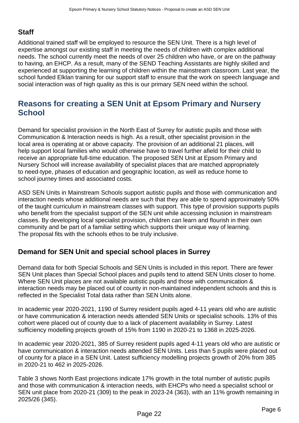## **Staff**

Additional trained staff will be employed to resource the SEN Unit. There is a high level of expertise amongst our existing staff in meeting the needs of children with complex additional needs. The school currently meet the needs of over 25 children who have, or are on the pathway to having, an EHCP. As a result, many of the SEND Teaching Assistants are highly skilled and experienced at supporting the learning of children within the mainstream classroom. Last year, the school funded Elklan training for our support staff to ensure that the work on speech language and social interaction was of high quality as this is our primary SEN need within the school.

## **Reasons for creating a SEN Unit at Epsom Primary and Nursery School**

Demand for specialist provision in the North East of Surrey for autistic pupils and those with Communication & Interaction needs is high. As a result, other specialist provision in the local area is operating at or above capacity. The provision of an additional 21 places, will help support local families who would otherwise have to travel further afield for their child to receive an appropriate full-time education. The proposed SEN Unit at Epsom Primary and Nursery School will increase availability of specialist places that are matched appropriately to need-type, phases of education and geographic location, as well as reduce home to school journey times and associated costs.

ASD SEN Units in Mainstream Schools support autistic pupils and those with communication and interaction needs whose additional needs are such that they are able to spend approximately 50% of the taught curriculum in mainstream classes with support. This type of provision supports pupils who benefit from the specialist support of the SEN unit while accessing inclusion in mainstream classes. By developing local specialist provision, children can learn and flourish in their own community and be part of a familiar setting which supports their unique way of learning. The proposal fits with the schools ethos to be truly inclusive.

#### **Demand for SEN Unit and special school places in Surrey**

Demand data for both Special Schools and SEN Units is included in this report. There are fewer SEN Unit places than Special School places and pupils tend to attend SEN Units closer to home. Where SEN Unit places are not available autistic pupils and those with communication & interaction needs may be placed out of county in non-maintained independent schools and this is reflected in the Specialist Total data rather than SEN Units alone.

In academic year 2020-2021, 1190 of Surrey resident pupils aged 4-11 years old who are autistic or have communication & interaction needs attended SEN Units or specialist schools. 13% of this cohort were placed out of county due to a lack of placement availability in Surrey. Latest sufficiency modelling projects growth of 15% from 1190 in 2020-21 to 1368 in 2025-2026.

In academic year 2020-2021, 385 of Surrey resident pupils aged 4-11 years old who are autistic or have communication & interaction needs attended SEN Units. Less than 5 pupils were placed out of county for a place in a SEN Unit. Latest sufficiency modelling projects growth of 20% from 385 in 2020-21 to 462 in 2025-2026.

Table 3 shows North East projections indicate 17% growth in the total number of autistic pupils and those with communication & interaction needs, with EHCPs who need a specialist school or SEN unit place from 2020-21 (309) to the peak in 2023-24 (363), with an 11% growth remaining in 2025/26 (345).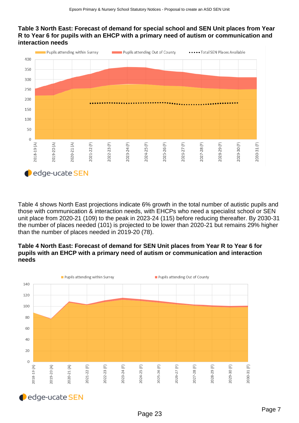#### **Table 3 North East: Forecast of demand for special school and SEN Unit places from Year R to Year 6 for pupils with an EHCP with a primary need of autism or communication and interaction needs**



Table 4 shows North East projections indicate 6% growth in the total number of autistic pupils and those with communication & interaction needs, with EHCPs who need a specialist school or SEN unit place from 2020-21 (109) to the peak in 2023-24 (115) before reducing thereafter. By 2030-31 the number of places needed (101) is projected to be lower than 2020-21 but remains 29% higher than the number of places needed in 2019-20 (78).

#### **Table 4 North East: Forecast of demand for SEN Unit places from Year R to Year 6 for pupils with an EHCP with a primary need of autism or communication and interaction needs**



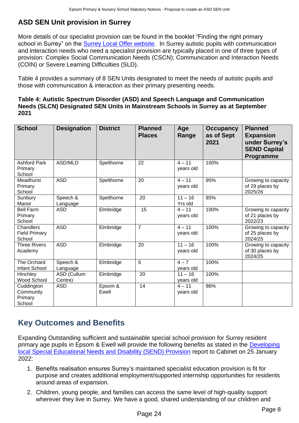## **ASD SEN Unit provision in Surrey**

More details of our specialist provision can be found in the booklet "Finding the right primary school in Surrey" on the [Surrey Local Offer website.](https://www.surreylocaloffer.org.uk/kb5/surrey/localoffer/advice.page?id=9TS_tpdTXU0) In Surrey autistic pupils with communication and interaction needs who need a specialist provision are typically placed in one of three types of provision: Complex Social Communication Needs (CSCN); Communication and Interaction Needs (COIN) or Severe Learning Difficulties (SLD).

Table 4 provides a summary of 8 SEN Units designated to meet the needs of autistic pupils and those with communication & interaction as their primary presenting needs.

#### **Table 4: Autistic Spectrum Disorder (ASD) and Speech Language and Communication Needs (SLCN) Designated SEN Units in Mainstream Schools in Surrey as at September 2021**

| <b>School</b>                                | <b>Designation</b>     | <b>District</b>  | <b>Planned</b><br><b>Places</b> | Age<br>Range           | <b>Occupancy</b><br>as of Sept<br>2021 | <b>Planned</b><br><b>Expansion</b><br>under Surrey's<br><b>SEND Capital</b><br>Programme |
|----------------------------------------------|------------------------|------------------|---------------------------------|------------------------|----------------------------------------|------------------------------------------------------------------------------------------|
| <b>Ashford Park</b><br>Primary<br>School     | ASD/MLD                | Spelthorne       | 22                              | $4 - 11$<br>years old  | 100%                                   |                                                                                          |
| Meadhurst<br>Primary<br>School               | <b>ASD</b>             | Spelthorne       | 20                              | $4 - 11$<br>years old  | 95%                                    | Growing to capacity<br>of 29 places by<br>2025/26                                        |
| Sunbury<br>Manor                             | Speech &<br>Language   | Spelthorne       | 20                              | $11 - 16$<br>Yrs old   | 85%                                    |                                                                                          |
| <b>Bell Farm</b><br>Primary<br>School        | <b>ASD</b>             | Elmbridge        | 15                              | $4 - 11$<br>years old  | 100%                                   | Growing to capacity<br>of 21 places by<br>2022/23                                        |
| Chandlers<br><b>Field Primary</b><br>School  | <b>ASD</b>             | Elmbridge        | $\overline{7}$                  | $4 - 11$<br>years old  | 100%                                   | Growing to capacity<br>of 25 places by<br>2024/25                                        |
| <b>Three Rivers</b><br>Academy               | <b>ASD</b>             | Elmbridge        | 20                              | $11 - 16$<br>years old | 100%                                   | Growing to capacity<br>of 30 places by<br>2024/25                                        |
| The Orchard<br>Infant School                 | Speech &<br>Language   | Elmbridge        | 6                               | $4 - 7$<br>years old   | 100%                                   |                                                                                          |
| Hinchley<br>Wood School                      | ASD (Cullum<br>Centre) | Elmbridge        | 20                              | $11 - 16$<br>years old | 100%                                   |                                                                                          |
| Cuddington<br>Community<br>Primary<br>School | <b>ASD</b>             | Epsom &<br>Ewell | 14                              | $4 - 11$<br>years old  | 86%                                    |                                                                                          |

## **Key Outcomes and Benefits**

Expanding Outstanding sufficient and sustainable special school provision for Surrey resident primary age pupils in Epsom & Ewell will provide the following benefits as stated in the [Developing](https://mycouncil.surreycc.gov.uk/documents/s83813/Phase%204%20Developing%20local%20SEND%20Provision%20in%20Surrey%20to%20meet%20demand%20in%20202324%20onwards-%20final%20report.pdf)  [local Special Educational Needs and Disability \(SEND\) Provision](https://mycouncil.surreycc.gov.uk/documents/s83813/Phase%204%20Developing%20local%20SEND%20Provision%20in%20Surrey%20to%20meet%20demand%20in%20202324%20onwards-%20final%20report.pdf) report to Cabinet on 25 January 2022:

- 1. Benefits realisation ensures Surrey's maintained specialist education provision is fit for purpose and creates additional employment/supported internship opportunities for residents around areas of expansion.
- 2. Children, young people, and families can access the same level of high-quality support wherever they live in Surrey. We have a good, shared understanding of our children and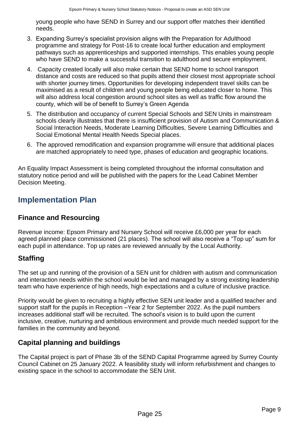young people who have SEND in Surrey and our support offer matches their identified needs.

- 3. Expanding Surrey's specialist provision aligns with the Preparation for Adulthood programme and strategy for Post-16 to create local further education and employment pathways such as apprenticeships and supported internships. This enables young people who have SEND to make a successful transition to adulthood and secure employment.
- 4. Capacity created locally will also make certain that SEND home to school transport distance and costs are reduced so that pupils attend their closest most appropriate school with shorter journey times. Opportunities for developing independent travel skills can be maximised as a result of children and young people being educated closer to home. This will also address local congestion around school sites as well as traffic flow around the county, which will be of benefit to Surrey's Green Agenda
- 5. The distribution and occupancy of current Special Schools and SEN Units in mainstream schools clearly illustrates that there is insufficient provision of Autism and Communication & Social Interaction Needs, Moderate Learning Difficulties, Severe Learning Difficulties and Social Emotional Mental Health Needs Special places.
- 6. The approved remodification and expansion programme will ensure that additional places are matched appropriately to need type, phases of education and geographic locations.

An Equality Impact Assessment is being completed throughout the informal consultation and statutory notice period and will be published with the papers for the Lead Cabinet Member Decision Meeting.

## **Implementation Plan**

## **Finance and Resourcing**

Revenue income: Epsom Primary and Nursery School will receive £6,000 per year for each agreed planned place commissioned (21 places). The school will also receive a "Top up" sum for each pupil in attendance. Top up rates are reviewed annually by the Local Authority.

## **Staffing**

The set up and running of the provision of a SEN unit for children with autism and communication and interaction needs within the school would be led and managed by a strong existing leadership team who have experience of high needs, high expectations and a culture of inclusive practice.

Priority would be given to recruiting a highly effective SEN unit leader and a qualified teacher and support staff for the pupils in Reception –Year 2 for September 2022. As the pupil numbers increases additional staff will be recruited. The school's vision is to build upon the current inclusive, creative, nurturing and ambitious environment and provide much needed support for the families in the community and beyond.

## **Capital planning and buildings**

The Capital project is part of Phase 3b of the SEND Capital Programme agreed by Surrey County Council Cabinet on 25 January 2022. A feasibility study will inform refurbishment and changes to existing space in the school to accommodate the SEN Unit.